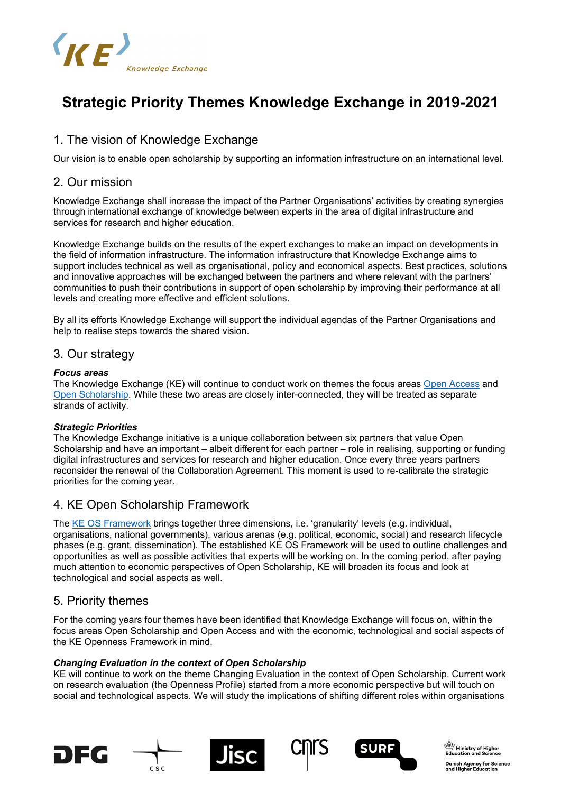

# **Strategic Priority Themes Knowledge Exchange in 2019-2021**

# 1. The vision of Knowledge Exchange

Our vision is to enable open scholarship by supporting an information infrastructure on an international level.

### 2. Our mission

Knowledge Exchange shall increase the impact of the Partner Organisations' activities by creating synergies through international exchange of knowledge between experts in the area of digital infrastructure and services for research and higher education.

Knowledge Exchange builds on the results of the expert exchanges to make an impact on developments in the field of information infrastructure. The information infrastructure that Knowledge Exchange aims to support includes technical as well as organisational, policy and economical aspects. Best practices, solutions and innovative approaches will be exchanged between the partners and where relevant with the partners' communities to push their contributions in support of open scholarship by improving their performance at all levels and creating more effective and efficient solutions.

By all its efforts Knowledge Exchange will support the individual agendas of the Partner Organisations and help to realise steps towards the shared vision.

## 3. Our strategy

### *Focus areas*

The Knowledge Exchange (KE) will continue to conduct work on themes the focus areas [Open Access](http://www.knowledge-exchange.info/projects/project/open-access) and [Open Scholarship.](http://www.knowledge-exchange.info/projects/project/open-scholarship) While these two areas are closely inter-connected, they will be treated as separate strands of activity.

### *Strategic Priorities*

The Knowledge Exchange initiative is a unique collaboration between six partners that value Open Scholarship and have an important – albeit different for each partner – role in realising, supporting or funding digital infrastructures and services for research and higher education. Once every three years partners reconsider the renewal of the Collaboration Agreement. This moment is used to re-calibrate the strategic priorities for the coming year.

# 4. KE Open Scholarship Framework

The [KE OS Framework](http://www.knowledge-exchange.info/event/os-framework) brings together three dimensions, i.e. 'granularity' levels (e.g. individual, organisations, national governments), various arenas (e.g. political, economic, social) and research lifecycle phases (e.g. grant, dissemination). The established KE OS Framework will be used to outline challenges and opportunities as well as possible activities that experts will be working on. In the coming period, after paying much attention to economic perspectives of Open Scholarship, KE will broaden its focus and look at technological and social aspects as well.

## 5. Priority themes

For the coming years four themes have been identified that Knowledge Exchange will focus on, within the focus areas Open Scholarship and Open Access and with the economic, technological and social aspects of the KE Openness Framework in mind.

### *Changing Evaluation in the context of Open Scholarship*

KE will continue to work on the theme Changing Evaluation in the context of Open Scholarship. Current work on research evaluation (the Openness Profile) started from a more economic perspective but will touch on social and technological aspects. We will study the implications of shifting different roles within organisations